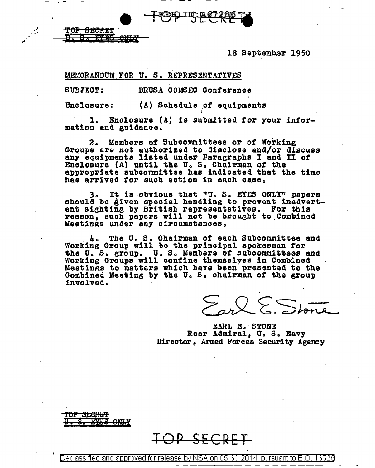18 September 1950

MEMORANDUM FOR U. S. REPRESENTATIVES

**TOP SECRET** 

BRUSA COMSEC Conference SUBJECT:

(A) Schedule of equipments **Enclosure:** 

1. Enclosure (A) is submitted for your information and guidance.

2. Members of Subcommittees or of Working Groups are not authorized to disclose and/or discuss any equipments listed under Paragraphs I and II of Enclosure (A) until the U.S. Chairman of the sppropriate subcommittee has indicated that the time has arrived for such action in each case.

3. It is obvious that "U. S. EYES ONLY" papers should be given special handling to prevent inadvert-<br>ent sighting by British representatives. For this reason, such papers will not be brought to Combined Meetings under any circumstances.

The U.S. Chairman of each Subcommittee and 4. Working Group will be the principal spokesmen for the U. S. group. U. S. Members of subcommittees and Working Groups will confine themselves in Combined Meetings to matters which have been presented to the Combined Meeting by the U.S. chairman of the group involved.

 $Q \mathsf{\lesssim}$  Ston

EARL E. STONE Rear Admiral, U.S. Navy Director, Armed Forces Security Agency



Declassified and approved for release by NSA on 05-30-2014 pursuant to E.O.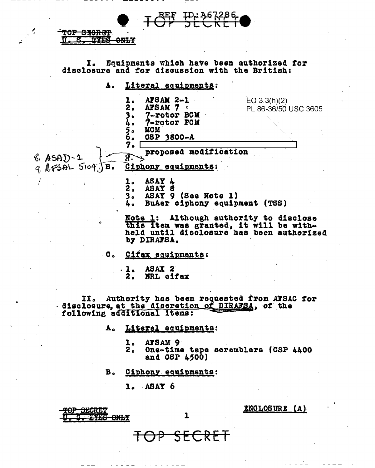REF ID:367286<br>DE STCKF (

I. Equipments which have been authorized for disclosure and for discussion with the British:

A. Literal equipments:

**SEGRET** *<u><u>PVFC</u>*</u>

**ONLY** 

| $&$ ASAD-1<br>$q$ AFSAL $5104$ )<br>B <sub>o</sub> | <b>AFSAM 2-1</b><br>2 <sub>o</sub><br>AFSAM 7 .<br>7-rotor BCM<br>7-rotor PCM<br><b>MCM</b><br>5。<br>6。<br>CSP 3800-A<br>7.<br>proposed modification<br>$8^{\circ}$<br>Ciphony equipments: | EO 3.3(h)(2)<br>PL 86-36/50 USC 3605 |
|----------------------------------------------------|--------------------------------------------------------------------------------------------------------------------------------------------------------------------------------------------|--------------------------------------|
|                                                    | <b>ASAY</b><br>2.<br><b>ASAY</b><br>(See Note 1)<br>ASAY 9<br>3.<br>BuAer ciphony equipment (TSS)<br>4.                                                                                    |                                      |
|                                                    | <b>Note l:</b>                                                                                                                                                                             | Although authority to disclose       |

this item was granted, it will be withheld until disclosure has been authorized by DIRAFSA.

Cifax equipments:  $\sigma$ .

> ASAX<sub>2</sub>  $\mathbf{1}_{\bullet}$ NRL cifax 2.

II. Authority has been requested from AFSAC for<br>disclosure, at the discretion of DIRAFSA, of the<br>following additional items:

 $\mathbf{1}$ 

SECRET

- Literal equipments: А.
	- l. AFSAM 9
	- One-time tape scramblers (CSP 4400  $2<sub>o</sub>$ and CSP 4500)
- Ciphony equipments:  $B<sub>o</sub>$

 $1.$  ASAT  $6$ 

<del>IOP SECRET</del> <del>ITHS ONLY</del> ENCLOSURE (A)